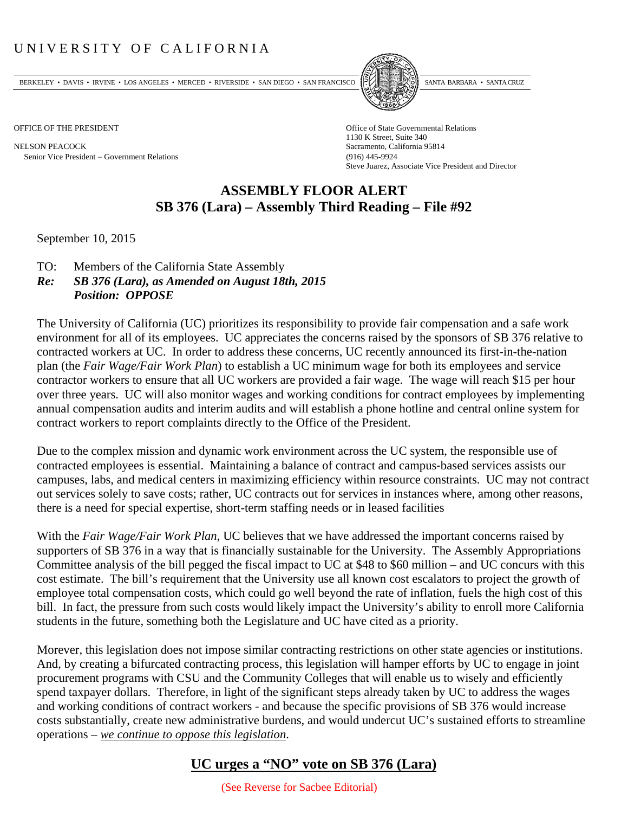## UNIVERSITY OF CALIFORNIA

BERKELEY • DAVIS • IRVINE • LOS ANGELES • MERCED • RIVERSIDE • SAN DIEGO • SAN FRANCISCO PARTA EXIMITAL BARBARA • SANTA CRUZ

NELSON PEACOCK Sacramento, California 95814 Senior Vice President Government Relations (916) 445-9924



OFFICE OF THE PRESIDENT STATES OF THE PRESIDENT 1130 K Street, Suite 340 Steve Juarez, Associate Vice President and Director

## **ASSEMBLY FLOOR ALERT SB 376 (Lara) – Assembly Third Reading – File #92**

September 10, 2015

- TO: Members of the California State Assembly
- *Re: SB 376 (Lara), as Amended on August 18th, 2015 Position: OPPOSE*

The University of California (UC) prioritizes its responsibility to provide fair compensation and a safe work environment for all of its employees. UC appreciates the concerns raised by the sponsors of SB 376 relative to contracted workers at UC. In order to address these concerns, UC recently announced its first-in-the-nation plan (the *Fair Wage/Fair Work Plan*) to establish a UC minimum wage for both its employees and service contractor workers to ensure that all UC workers are provided a fair wage. The wage will reach \$15 per hour over three years. UC will also monitor wages and working conditions for contract employees by implementing annual compensation audits and interim audits and will establish a phone hotline and central online system for contract workers to report complaints directly to the Office of the President.

Due to the complex mission and dynamic work environment across the UC system, the responsible use of contracted employees is essential. Maintaining a balance of contract and campus‐based services assists our campuses, labs, and medical centers in maximizing efficiency within resource constraints. UC may not contract out services solely to save costs; rather, UC contracts out for services in instances where, among other reasons, there is a need for special expertise, short-term staffing needs or in leased facilities

With the *Fair Wage/Fair Work Plan*, UC believes that we have addressed the important concerns raised by supporters of SB 376 in a way that is financially sustainable for the University. The Assembly Appropriations Committee analysis of the bill pegged the fiscal impact to UC at \$48 to \$60 million – and UC concurs with this cost estimate. The bill's requirement that the University use all known cost escalators to project the growth of employee total compensation costs, which could go well beyond the rate of inflation, fuels the high cost of this bill. In fact, the pressure from such costs would likely impact the University's ability to enroll more California students in the future, something both the Legislature and UC have cited as a priority.

Morever, this legislation does not impose similar contracting restrictions on other state agencies or institutions. And, by creating a bifurcated contracting process, this legislation will hamper efforts by UC to engage in joint procurement programs with CSU and the Community Colleges that will enable us to wisely and efficiently spend taxpayer dollars. Therefore, in light of the significant steps already taken by UC to address the wages and working conditions of contract workers - and because the specific provisions of SB 376 would increase costs substantially, create new administrative burdens, and would undercut UC's sustained efforts to streamline operations – *we continue to oppose this legislation*.

## **UC urges a "NO" vote on SB 376 (Lara)**